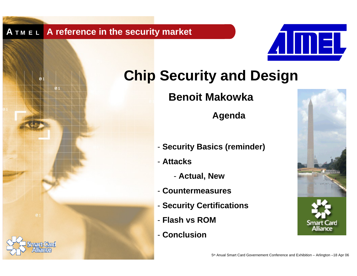$\boldsymbol{0}$  1



# **Chip Security and Design**

**Benoit Makowka**

**Agenda** 

- **Security Basics (reminder)**
- **Attacks**
	- **Actual, New**
- **Countermeasures**
- **Security Certifications**
- **Flash vs ROM**
- **Conclusion**

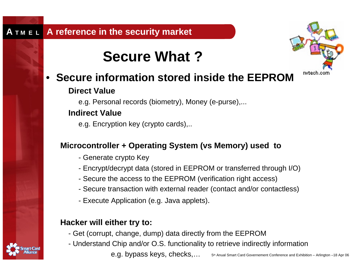## **Secure What ?**



### $\bullet$ **Secure information stored inside the EEPROM**

## **Direct Value**

e.g. Personal records (biometry), Money (e-purse),...

## **Indirect Value**

e.g. Encryption key (crypto cards),..

## **Microcontroller + Operating System (vs Memory) used to**

- Generate crypto Key
- Encrypt/decrypt data (stored in EEPROM or transferred through I/O)
- Secure the access to the EEPROM (verification right access)
- Secure transaction with external reader (contact and/or contactless)
- Execute Application (e.g. Java applets).

## **Hacker will either try to:**

- Get (corrupt, change, dump) data directly from the EEPROM
- Understand Chip and/or O.S. functionality to retrieve indirectly information
	- e.g. bypass keys, checks,…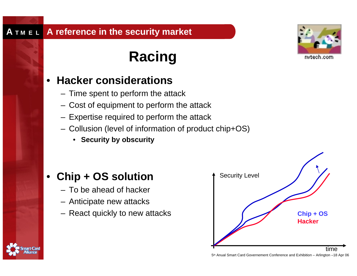# **Racing**

### •**Hacker considerations**

- Time spent to perform the attack
- Cost of equipment to perform the attack
- Expertise required to perform the attack
- Collusion (level of information of product chip+OS)
	- **Security by obscurity**

### •**Chip + OS solution**

- To be ahead of hacker
- Anticipate new attacks
- React quickly to new attacks





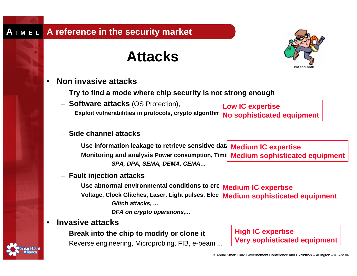## **Attacks**



•**Non invasive attacks**

**Try to find a mode where chip security is not strong enough**

– **Software attacks** (OS Protection), **Exploit vulnerabilities in protocols, crypto algorithm** 

– **Side channel attacks**

Use information leakage to retrieve sensitive data<sub>.</sub> Medium IC expertise Monitoring and analysis Power consumption, Timil**i Medium sophisticated equipment** *SPA, DPA, SEMA, DEMA, CEMA…*

– **Fault injection attacks**

**Use abnormal environmental conditions toVoltage, Clock Glitches, Laser, Light pulses, Electron Magnetic Fields** *Glitch attacks, ...*

*DFA on crypto operations,...*

### •**Invasive attacks**

**Break into the chip to modify or clone it** Reverse engineering, Microprobing, FIB, e-beam ...

**c** cre $\blacksquare$  Medium IC expertise **Medium sophisticated equipment**



**Low IC expertise No sophisticated equipment**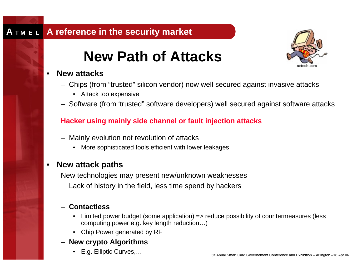## **New Path of Attacks**



#### •**New attacks**

- Chips (from "trusted" silicon vendor) now well secured against invasive attacks
	- Attack too expensive
- Software (from 'trusted" software developers) well secured against software attacks

### **Hacker using mainly side channel or fault injection attacks**

- Mainly evolution not revolution of attacks
	- $\bullet$ More sophisticated tools efficient with lower leakages

#### $\bullet$ **New attack paths**

New technologies may present new/unknown weaknesses Lack of history in the field, less time spend by hackers

### – **Contactless**

- • Limited power budget (some application) => reduce possibility of countermeasures (less computing power e.g. key length reduction…)
- Chip Power generated by RF

### – **New crypto Algorithms**

• E.g. Elliptic Curves,…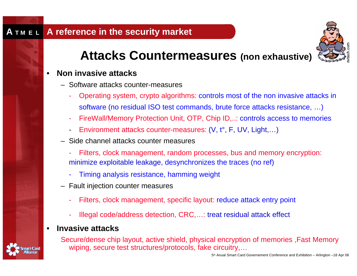

## **Attacks Countermeasures (non exhaustive)**

#### $\bullet$ **Non invasive attacks**

- Software attacks counter-measures
	- - Operating system, crypto algorithms: controls most of the non invasive attacks in software (no residual ISO test commands, brute force attacks resistance, …)
	- -FireWall/Memory Protection Unit, OTP, Chip ID,..: controls access to memories
	- -Environment attacks counter-measures: (V, t°, F, UV, Light,…)
- Side channel attacks counter measures
	- Filters, clock management, random processes, bus and memory encryption: minimize exploitable leakage, desynchronizes the traces (no ref)
	- -Timing analysis resistance, hamming weight
- Fault injection counter measures
	- -Filters, clock management, specific layout: reduce attack entry point
	- -Illegal code/address detection, CRC,…: treat residual attack effect

### •**Invasive attacks**

Secure/dense chip layout, active shield, physical encryption of memories ,Fast Memory wiping, secure test structures/protocols, fake circuitry,…

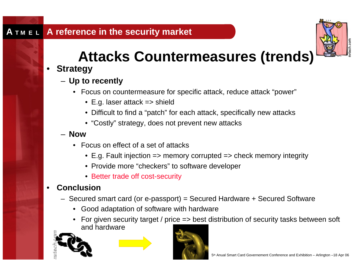

# **Attacks Countermeasures (trends)**

### $\bullet$ **Strategy**

- **Up to recently**
	- Focus on countermeasure for specific attack, reduce attack "power"
		- E.g. laser attack => shield
		- Difficult to find a "patch" for each attack, specifically new attacks
		- "Costly" strategy, does not prevent new attacks
- **Now**
	- Focus on effect of a set of attacks
		- E.g. Fault injection => memory corrupted => check memory integrity
		- Provide more "checkers" to software developer
		- Better trade off cost-security

### •**Conclusion**

- Secured smart card (or e-passport) = Secured Hardware + Secured Software
	- Good adaptation of software with hardware
	- For given security target / price => best distribution of security tasks between soft and hardware



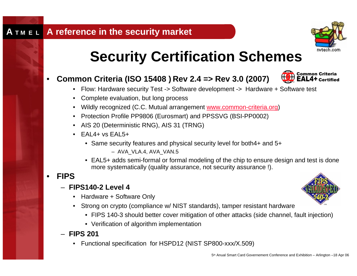

# **Security Certification Schemes**

### $\bullet$ **Common Criteria (ISO 15408 ) Rev 2.4 => Rev 3.0 (2007)**



- Flow: Hardware security Test -> Software development -> Hardware + Software test
- Complete evaluation, but long process
- Wildly recognized (C.C. Mutual arrangement www.common-criteria.org)
- Protection Profile PP9806 (Eurosmart) and PPSSVG (BSI-PP0002)
- AIS 20 (Deterministic RNG), AIS 31 (TRNG)
- EAL4+ vs EAL5+
	- Same security features and physical security level for both4+ and 5+
		- AVA\_VLA.4, AVA\_VAN.5
	- EAL5+ adds semi-formal or formal modeling of the chip to ensure design and test is done more systematically (quality assurance, not security assurance !).

#### •**FIPS**

- **FIPS140-2 Level 4**
	- Hardware + Software Only
	- Strong on crypto (compliance w/ NIST standards), tamper resistant hardware
		- FIPS 140-3 should better cover mitigation of other attacks (side channel, fault injection)
		- Verification of algorithm implementation

### – **FIPS 201**

• Functional specification for HSPD12 (NIST SP800-xxx/X.509)

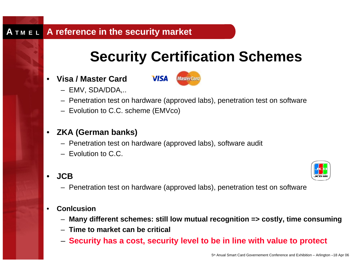## **Security Certification Schemes**

 $\bullet$ **Visa / Master Card**



- EMV, SDA/DDA,..
- Penetration test on hardware (approved labs), penetration test on software
- Evolution to C.C. scheme (EMVco)
- **ZKA (German banks)**
	- Penetration test on hardware (approved labs), software audit
	- Evolution to C.C.

#### •**JCB**

- 
- Penetration test on hardware (approved labs), penetration test on software

#### •**Conlcusion**

- **Many different schemes: still low mutual recognition => costly, time consuming**
- **Time to market can be critical**
- **Security has a cost, security level to be in line with value to protect**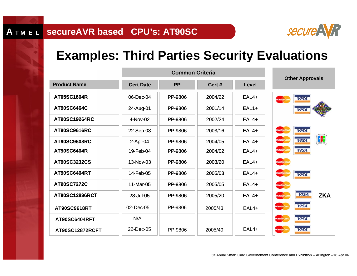

## **Examples: Third Parties Security Evaluations**

|                      | <b>Common Criteria</b> |           |         |              | <b>Other Approvals</b>                        |
|----------------------|------------------------|-----------|---------|--------------|-----------------------------------------------|
| <b>Product Name</b>  | <b>Cert Date</b>       | <b>PP</b> | Cert #  | <b>Level</b> |                                               |
| AT05SC1604R          | 06-Dec-04              | PP-9806   | 2004/22 | $EAL4+$      | <b>VISA</b><br><b>MasterCard</b>              |
| AT90SC6464C          | 24-Aug-01              | PP-9806   | 2001/14 | $EAL1+$      | <b>VISA</b>                                   |
| <b>AT90SC19264RC</b> | 4-Nov-02               | PP-9806   | 2002/24 | $EAL4+$      |                                               |
| <b>AT90SC9616RC</b>  | 22-Sep-03              | PP-9806   | 2003/16 | $EAL4+$      | <b>VISA</b><br><b>MasterCard</b>              |
| <b>AT90SC9608RC</b>  | $2-Apr-04$             | PP-9806   | 2004/05 | $EAL4+$      | 9<br><b>VISA</b><br><b>MasterCard</b>         |
| AT90SC6404R          | 19-Feb-04              | PP-9806   | 2004/02 | $EAL4+$      | <b>VISA</b><br><b>MasterCa</b>                |
| AT90SC3232CS         | 13-Nov-03              | PP-9806   | 2003/20 | $EAL4+$      | <b>MasterCard</b>                             |
| AT90SC6404RT         | 14-Feb-05              | PP-9806   | 2005/03 | $EAL4+$      | <b>MasterCard</b><br><b>VISA</b>              |
| AT90SC7272C          | 11-Mar-05              | PP-9806   | 2005/05 | $EAL4+$      | <b>MasterCard</b>                             |
| AT90SC12836RCT       | 28-Jul-05              | PP-9806   | 2005/20 | $EAL4+$      | <b>VISA</b><br><b>ZKA</b><br><b>MasterCar</b> |
| AT90SC9618RT         | 02-Dec-05              | PP-9806   | 2005/43 | $EAL4+$      | <b>VISA</b><br><b>MasterCard</b>              |
| AT90SC6404RFT        | N/A                    |           |         |              | <b>VISA</b><br><b>MasterCard</b>              |
| AT90SC12872RCFT      | 22-Dec-05              | PP 9806   | 2005/49 | $EAL4+$      | <b>VISA</b><br><b>MasterCa</b>                |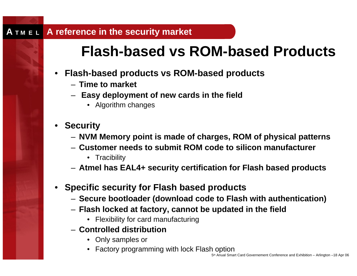## **Flash-based vs ROM-based Products**

- **Flash-based products vs ROM-based products**
	- **Time to market**
	- **Easy deployment of new cards in the field**
		- Algorithm changes
- **Security**
	- **NVM Memory point is made of charges, ROM of physical patterns**
	- **Customer needs to submit ROM code to silicon manufacturer**
		- Tracibility
	- **Atmel has EAL4+ security certification for Flash based products**
- **Specific security for Flash based products**
	- **Secure bootloader (download code to Flash with authentication)**
	- **Flash locked at factory, cannot be updated in the field**
		- Flexibility for card manufacturing
	- **Controlled distribution**
		- Only samples or
		- Factory programming with lock Flash option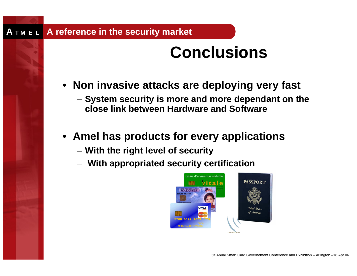# **Conclusions**

- **Non invasive attacks are deploying very fast**
	- **System security is more and more dependant on the close link between Hardware and Software**
- **Amel has products for every applications**
	- **With the right level of security**
	- **With appropriated security certification**